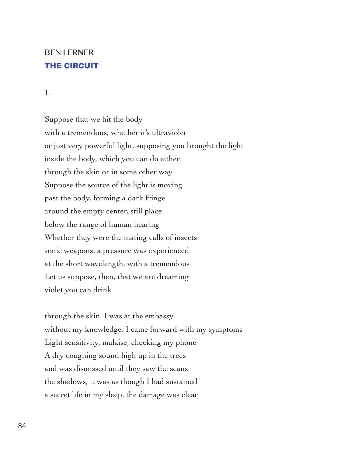## BEN LERNER THE CIRCUIT

1.

Suppose that we hit the body with a tremendous, whether it's ultraviolet or just very powerful light, supposing you brought the light inside the body, which you can do either through the skin or in some other way Suppose the source of the light is moving past the body, forming a dark fringe around the empty center, still place below the range of human hearing Whether they were the mating calls of insects sonic weapons, a pressure was experienced at the short wavelength, with a tremendous Let us suppose, then, that we are dreaming violet you can drink

through the skin. I was at the embassy without my knowledge, I came forward with my symptoms Light sensitivity, malaise, checking my phone A dry coughing sound high up in the trees and was dismissed until they saw the scans the shadows, it was as though I had sustained a secret life in my sleep, the damage was clear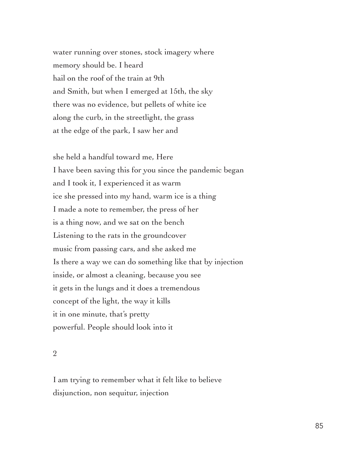water running over stones, stock imagery where memory should be. I heard hail on the roof of the train at 9th and Smith, but when I emerged at 15th, the sky there was no evidence, but pellets of white ice along the curb, in the streetlight, the grass at the edge of the park, I saw her and

she held a handful toward me, Here I have been saving this for you since the pandemic began and I took it, I experienced it as warm ice she pressed into my hand, warm ice is a thing I made a note to remember, the press of her is a thing now, and we sat on the bench Listening to the rats in the groundcover music from passing cars, and she asked me Is there a way we can do something like that by injection inside, or almost a cleaning, because you see it gets in the lungs and it does a tremendous concept of the light, the way it kills it in one minute, that's pretty powerful. People should look into it

2

I am trying to remember what it felt like to believe disjunction, non sequitur, injection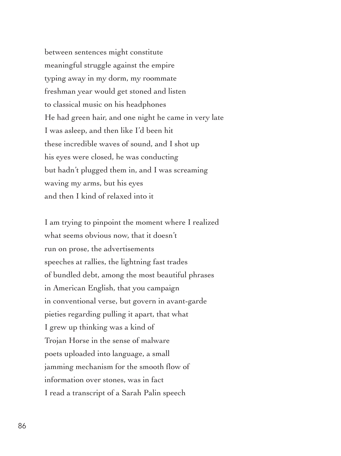between sentences might constitute meaningful struggle against the empire typing away in my dorm, my roommate freshman year would get stoned and listen to classical music on his headphones He had green hair, and one night he came in very late I was asleep, and then like I'd been hit these incredible waves of sound, and I shot up his eyes were closed, he was conducting but hadn't plugged them in, and I was screaming waving my arms, but his eyes and then I kind of relaxed into it

I am trying to pinpoint the moment where I realized what seems obvious now, that it doesn't run on prose, the advertisements speeches at rallies, the lightning fast trades of bundled debt, among the most beautiful phrases in American English, that you campaign in conventional verse, but govern in avant-garde pieties regarding pulling it apart, that what I grew up thinking was a kind of Trojan Horse in the sense of malware poets uploaded into language, a small jamming mechanism for the smooth flow of information over stones, was in fact I read a transcript of a Sarah Palin speech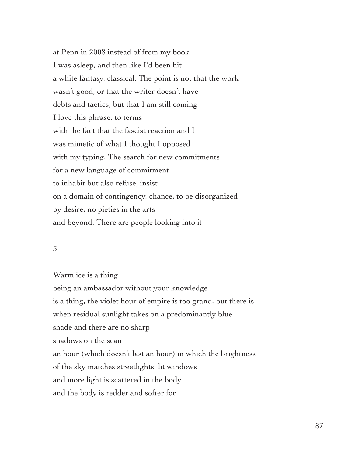at Penn in 2008 instead of from my book I was asleep, and then like I'd been hit a white fantasy, classical. The point is not that the work wasn't good, or that the writer doesn't have debts and tactics, but that I am still coming I love this phrase, to terms with the fact that the fascist reaction and I was mimetic of what I thought I opposed with my typing. The search for new commitments for a new language of commitment to inhabit but also refuse, insist on a domain of contingency, chance, to be disorganized by desire, no pieties in the arts and beyond. There are people looking into it

## 3

Warm ice is a thing being an ambassador without your knowledge is a thing, the violet hour of empire is too grand, but there is when residual sunlight takes on a predominantly blue shade and there are no sharp shadows on the scan an hour (which doesn't last an hour) in which the brightness of the sky matches streetlights, lit windows and more light is scattered in the body and the body is redder and softer for